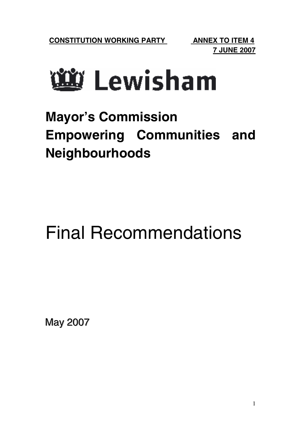# <u>ันซี</u> Lewisham

### **Mayor's Commission Empowering Communities and Neighbourhoods**

## Final Recommendations

May 2007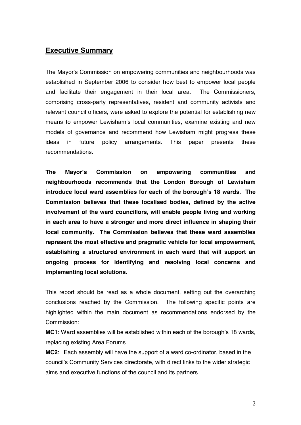#### **Executive Summary**

The Mayor's Commission on empowering communities and neighbourhoods was established in September 2006 to consider how best to empower local people and facilitate their engagement in their local area. The Commissioners, comprising cross-party representatives, resident and community activists and relevant council officers, were asked to explore the potential for establishing new means to empower Lewisham's local communities, examine existing and new models of governance and recommend how Lewisham might progress these ideas in future policy arrangements. This paper presents these recommendations.

**The Mayor's Commission on empowering communities and neighbourhoods recommends that the London Borough of Lewisham introduce local ward assemblies for each of the borough's 18 wards. The Commission believes that these localised bodies, defined by the active involvement of the ward councillors, will enable people living and working in each area to have a stronger and more direct influence in shaping their local community. The Commission believes that these ward assemblies represent the most effective and pragmatic vehicle for local empowerment, establishing a structured environment in each ward that will support an ongoing process for identifying and resolving local concerns and implementing local solutions.**

This report should be read as a whole document, setting out the overarching conclusions reached by the Commission. The following specific points are highlighted within the main document as recommendations endorsed by the Commission:

**MC1**: Ward assemblies will be established within each of the borough's 18 wards, replacing existing Area Forums

**MC2**: Each assembly will have the support of a ward co-ordinator, based in the council's Community Services directorate, with direct links to the wider strategic aims and executive functions of the council and its partners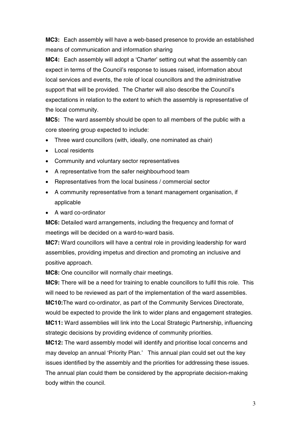**MC3:** Each assembly will have a web-based presence to provide an established means of communication and information sharing

**MC4:** Each assembly will adopt a 'Charter' setting out what the assembly can expect in terms of the Council's response to issues raised, information about local services and events, the role of local councillors and the administrative support that will be provided. The Charter will also describe the Council's expectations in relation to the extent to which the assembly is representative of the local community.

**MC5:** The ward assembly should be open to all members of the public with a core steering group expected to include:

- Three ward councillors (with, ideally, one nominated as chair)
- Local residents
- Community and voluntary sector representatives
- A representative from the safer neighbourhood team
- Representatives from the local business / commercial sector
- A community representative from a tenant management organisation, if applicable
- A ward co-ordinator

**MC6:** Detailed ward arrangements, including the frequency and format of meetings will be decided on a ward-to-ward basis.

**MC7:** Ward councillors will have a central role in providing leadership for ward assemblies, providing impetus and direction and promoting an inclusive and positive approach.

**MC8:** One councillor will normally chair meetings.

**MC9:** There will be a need for training to enable councillors to fulfil this role. This will need to be reviewed as part of the implementation of the ward assemblies. **MC10:**The ward co-ordinator, as part of the Community Services Directorate, would be expected to provide the link to wider plans and engagement strategies. **MC11:** Ward assemblies will link into the Local Strategic Partnership, influencing strategic decisions by providing evidence of community priorities.

**MC12:** The ward assembly model will identify and prioritise local concerns and may develop an annual 'Priority Plan.' This annual plan could set out the key issues identified by the assembly and the priorities for addressing these issues. The annual plan could them be considered by the appropriate decision-making body within the council.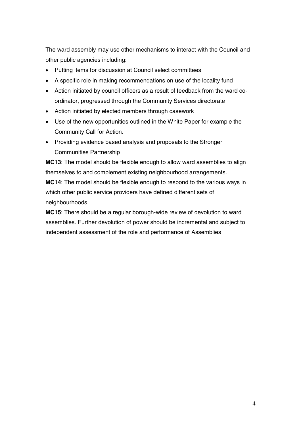The ward assembly may use other mechanisms to interact with the Council and other public agencies including:

- Putting items for discussion at Council select committees
- A specific role in making recommendations on use of the locality fund
- Action initiated by council officers as a result of feedback from the ward coordinator, progressed through the Community Services directorate
- Action initiated by elected members through casework
- Use of the new opportunities outlined in the White Paper for example the Community Call for Action.
- Providing evidence based analysis and proposals to the Stronger Communities Partnership

**MC13**: The model should be flexible enough to allow ward assemblies to align themselves to and complement existing neighbourhood arrangements.

**MC14**: The model should be flexible enough to respond to the various ways in which other public service providers have defined different sets of neighbourhoods.

**MC15**: There should be a regular borough-wide review of devolution to ward assemblies. Further devolution of power should be incremental and subject to independent assessment of the role and performance of Assemblies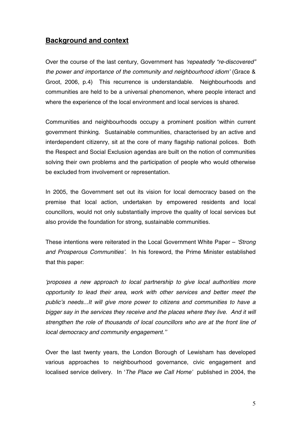#### **Background and context**

Over the course of the last century, Government has 'repeatedly "re-discovered" the power and importance of the community and neighbourhood idiom' (Grace & Groot, 2006, p.4) This recurrence is understandable. Neighbourhoods and communities are held to be a universal phenomenon, where people interact and where the experience of the local environment and local services is shared.

Communities and neighbourhoods occupy a prominent position within current government thinking. Sustainable communities, characterised by an active and interdependent citizenry, sit at the core of many flagship national polices. Both the Respect and Social Exclusion agendas are built on the notion of communities solving their own problems and the participation of people who would otherwise be excluded from involvement or representation.

In 2005, the Government set out its vision for local democracy based on the premise that local action, undertaken by empowered residents and local councillors, would not only substantially improve the quality of local services but also provide the foundation for strong, sustainable communities.

These intentions were reiterated in the Local Government White Paper – 'Strong and Prosperous Communities'. In his foreword, the Prime Minister established that this paper:

'proposes a new approach to local partnership to give local authorities more opportunity to lead their area, work with other services and better meet the public's needs...It will give more power to citizens and communities to have a bigger say in the services they receive and the places where they live. And it will strengthen the role of thousands of local councillors who are at the front line of local democracy and community engagement.''

Over the last twenty years, the London Borough of Lewisham has developed various approaches to neighbourhood governance, civic engagement and localised service delivery. In 'The Place we Call Home' published in 2004, the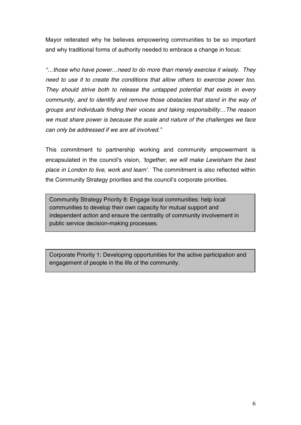Mayor reiterated why he believes empowering communities to be so important and why traditional forms of authority needed to embrace a change in focus:

"…those who have power…need to do more than merely exercise it wisely. They need to use it to create the conditions that allow others to exercise power too. They should strive both to release the untapped potential that exists in every community, and to identify and remove those obstacles that stand in the way of groups and individuals finding their voices and taking responsibility…The reason we must share power is because the scale and nature of the challenges we face can only be addressed if we are all involved."

This commitment to partnership working and community empowerment is encapsulated in the council's vision, 'together, we will make Lewisham the best place in London to live, work and learn'. The commitment is also reflected within the Community Strategy priorities and the council's corporate priorities.

Community Strategy Priority 8: Engage local communities: help local communities to develop their own capacity for mutual support and independent action and ensure the centrality of community involvement in public service decision-making processes.

Corporate Priority 1: Developing opportunities for the active participation and engagement of people in the life of the community.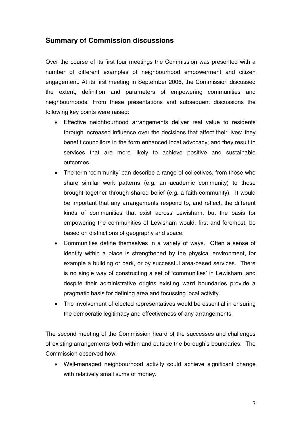#### **Summary of Commission discussions**

Over the course of its first four meetings the Commission was presented with a number of different examples of neighbourhood empowerment and citizen engagement. At its first meeting in September 2006, the Commission discussed the extent, definition and parameters of empowering communities and neighbourhoods. From these presentations and subsequent discussions the following key points were raised:

- Effective neighbourhood arrangements deliver real value to residents through increased influence over the decisions that affect their lives; they benefit councillors in the form enhanced local advocacy; and they result in services that are more likely to achieve positive and sustainable outcomes.
- The term 'community' can describe a range of collectives, from those who share similar work patterns (e.g. an academic community) to those brought together through shared belief (e.g. a faith community). It would be important that any arrangements respond to, and reflect, the different kinds of communities that exist across Lewisham, but the basis for empowering the communities of Lewisham would, first and foremost, be based on distinctions of geography and space.
- Communities define themselves in a variety of ways. Often a sense of identity within a place is strengthened by the physical environment, for example a building or park, or by successful area-based services. There is no single way of constructing a set of 'communities' in Lewisham, and despite their administrative origins existing ward boundaries provide a pragmatic basis for defining area and focussing local activity.
- The involvement of elected representatives would be essential in ensuring the democratic legitimacy and effectiveness of any arrangements.

The second meeting of the Commission heard of the successes and challenges of existing arrangements both within and outside the borough's boundaries. The Commission observed how:

• Well-managed neighbourhood activity could achieve significant change with relatively small sums of money.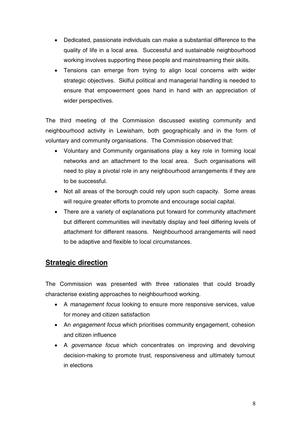- Dedicated, passionate individuals can make a substantial difference to the quality of life in a local area. Successful and sustainable neighbourhood working involves supporting these people and mainstreaming their skills.
- Tensions can emerge from trying to align local concerns with wider strategic objectives. Skilful political and managerial handling is needed to ensure that empowerment goes hand in hand with an appreciation of wider perspectives.

The third meeting of the Commission discussed existing community and neighbourhood activity in Lewisham, both geographically and in the form of voluntary and community organisations. The Commission observed that:

- Voluntary and Community organisations play a key role in forming local networks and an attachment to the local area. Such organisations will need to play a pivotal role in any neighbourhood arrangements if they are to be successful.
- Not all areas of the borough could rely upon such capacity. Some areas will require greater efforts to promote and encourage social capital.
- There are a variety of explanations put forward for community attachment but different communities will inevitably display and feel differing levels of attachment for different reasons. Neighbourhood arrangements will need to be adaptive and flexible to local circumstances.

#### **Strategic direction**

The Commission was presented with three rationales that could broadly characterise existing approaches to neighbourhood working.

- A *management focus* looking to ensure more responsive services, value for money and citizen satisfaction
- An engagement focus which prioritises community engagement, cohesion and citizen influence
- A governance focus which concentrates on improving and devolving decision-making to promote trust, responsiveness and ultimately turnout in elections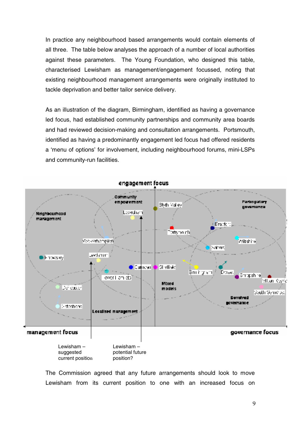In practice any neighbourhood based arrangements would contain elements of all three. The table below analyses the approach of a number of local authorities against these parameters. The Young Foundation, who designed this table, characterised Lewisham as management/engagement focussed, noting that existing neighbourhood management arrangements were originally instituted to tackle deprivation and better tailor service delivery.

As an illustration of the diagram, Birmingham, identified as having a governance led focus, had established community partnerships and community area boards and had reviewed decision-making and consultation arrangements. Portsmouth, identified as having a predominantly engagement led focus had offered residents a 'menu of options' for involvement, including neighbourhood forums, mini-LSPs and community-run facilities.



The Commission agreed that any future arrangements should look to move Lewisham from its current position to one with an increased focus on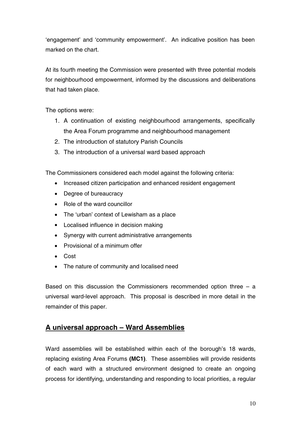'engagement' and 'community empowerment'. An indicative position has been marked on the chart.

At its fourth meeting the Commission were presented with three potential models for neighbourhood empowerment, informed by the discussions and deliberations that had taken place.

The options were:

- 1. A continuation of existing neighbourhood arrangements, specifically the Area Forum programme and neighbourhood management
- 2. The introduction of statutory Parish Councils
- 3. The introduction of a universal ward based approach

The Commissioners considered each model against the following criteria:

- Increased citizen participation and enhanced resident engagement
- Degree of bureaucracy
- Role of the ward councillor
- The 'urban' context of Lewisham as a place
- Localised influence in decision making
- Synergy with current administrative arrangements
- Provisional of a minimum offer
- Cost
- The nature of community and localised need

Based on this discussion the Commissioners recommended option three  $-$  a universal ward-level approach. This proposal is described in more detail in the remainder of this paper.

#### **A universal approach – Ward Assemblies**

Ward assemblies will be established within each of the borough's 18 wards, replacing existing Area Forums **(MC1)**. These assemblies will provide residents of each ward with a structured environment designed to create an ongoing process for identifying, understanding and responding to local priorities, a regular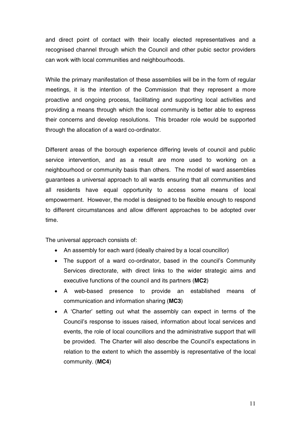and direct point of contact with their locally elected representatives and a recognised channel through which the Council and other pubic sector providers can work with local communities and neighbourhoods.

While the primary manifestation of these assemblies will be in the form of regular meetings, it is the intention of the Commission that they represent a more proactive and ongoing process, facilitating and supporting local activities and providing a means through which the local community is better able to express their concerns and develop resolutions. This broader role would be supported through the allocation of a ward co-ordinator.

Different areas of the borough experience differing levels of council and public service intervention, and as a result are more used to working on a neighbourhood or community basis than others. The model of ward assemblies guarantees a universal approach to all wards ensuring that all communities and all residents have equal opportunity to access some means of local empowerment. However, the model is designed to be flexible enough to respond to different circumstances and allow different approaches to be adopted over time.

The universal approach consists of:

- An assembly for each ward (ideally chaired by a local councillor)
- The support of a ward co-ordinator, based in the council's Community Services directorate, with direct links to the wider strategic aims and executive functions of the council and its partners (**MC2**)
- A web-based presence to provide an established means of communication and information sharing (**MC3**)
- A 'Charter' setting out what the assembly can expect in terms of the Council's response to issues raised, information about local services and events, the role of local councillors and the administrative support that will be provided. The Charter will also describe the Council's expectations in relation to the extent to which the assembly is representative of the local community. (**MC4**)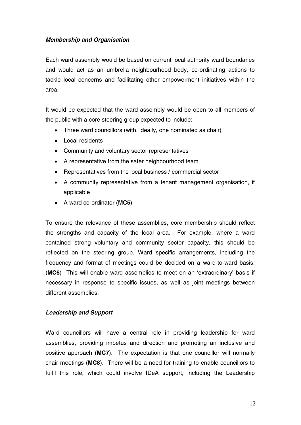#### **Membership and Organisation**

Each ward assembly would be based on current local authority ward boundaries and would act as an umbrella neighbourhood body, co-ordinating actions to tackle local concerns and facilitating other empowerment initiatives within the area.

It would be expected that the ward assembly would be open to all members of the public with a core steering group expected to include:

- Three ward councillors (with, ideally, one nominated as chair)
- Local residents
- Community and voluntary sector representatives
- A representative from the safer neighbourhood team
- Representatives from the local business / commercial sector
- A community representative from a tenant management organisation, if applicable
- A ward co-ordinator (**MC5**)

To ensure the relevance of these assemblies, core membership should reflect the strengths and capacity of the local area. For example, where a ward contained strong voluntary and community sector capacity, this should be reflected on the steering group. Ward specific arrangements, including the frequency and format of meetings could be decided on a ward-to-ward basis. (**MC6**) This will enable ward assemblies to meet on an 'extraordinary' basis if necessary in response to specific issues, as well as joint meetings between different assemblies.

#### **Leadership and Support**

Ward councillors will have a central role in providing leadership for ward assemblies, providing impetus and direction and promoting an inclusive and positive approach (**MC7**). The expectation is that one councillor will normally chair meetings (**MC8**). There will be a need for training to enable councillors to fulfil this role, which could involve IDeA support, including the Leadership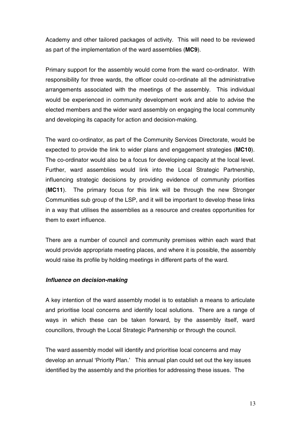Academy and other tailored packages of activity. This will need to be reviewed as part of the implementation of the ward assemblies (**MC9**).

Primary support for the assembly would come from the ward co-ordinator. With responsibility for three wards, the officer could co-ordinate all the administrative arrangements associated with the meetings of the assembly. This individual would be experienced in community development work and able to advise the elected members and the wider ward assembly on engaging the local community and developing its capacity for action and decision-making.

The ward co-ordinator, as part of the Community Services Directorate, would be expected to provide the link to wider plans and engagement strategies (**MC10**). The co-ordinator would also be a focus for developing capacity at the local level. Further, ward assemblies would link into the Local Strategic Partnership, influencing strategic decisions by providing evidence of community priorities (**MC11**). The primary focus for this link will be through the new Stronger Communities sub group of the LSP, and it will be important to develop these links in a way that utilises the assemblies as a resource and creates opportunities for them to exert influence.

There are a number of council and community premises within each ward that would provide appropriate meeting places, and where it is possible, the assembly would raise its profile by holding meetings in different parts of the ward.

#### **Influence on decision-making**

A key intention of the ward assembly model is to establish a means to articulate and prioritise local concerns and identify local solutions. There are a range of ways in which these can be taken forward, by the assembly itself, ward councillors, through the Local Strategic Partnership or through the council.

The ward assembly model will identify and prioritise local concerns and may develop an annual 'Priority Plan.' This annual plan could set out the key issues identified by the assembly and the priorities for addressing these issues. The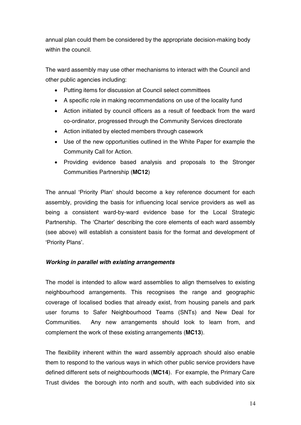annual plan could them be considered by the appropriate decision-making body within the council.

The ward assembly may use other mechanisms to interact with the Council and other public agencies including:

- Putting items for discussion at Council select committees
- A specific role in making recommendations on use of the locality fund
- Action initiated by council officers as a result of feedback from the ward co-ordinator, progressed through the Community Services directorate
- Action initiated by elected members through casework
- Use of the new opportunities outlined in the White Paper for example the Community Call for Action.
- Providing evidence based analysis and proposals to the Stronger Communities Partnership (**MC12**)

The annual 'Priority Plan' should become a key reference document for each assembly, providing the basis for influencing local service providers as well as being a consistent ward-by-ward evidence base for the Local Strategic Partnership. The 'Charter' describing the core elements of each ward assembly (see above) will establish a consistent basis for the format and development of 'Priority Plans'.

#### **Working in parallel with existing arrangements**

The model is intended to allow ward assemblies to align themselves to existing neighbourhood arrangements. This recognises the range and geographic coverage of localised bodies that already exist, from housing panels and park user forums to Safer Neighbourhood Teams (SNTs) and New Deal for Communities. Any new arrangements should look to learn from, and complement the work of these existing arrangements (**MC13**).

The flexibility inherent within the ward assembly approach should also enable them to respond to the various ways in which other public service providers have defined different sets of neighbourhoods (**MC14**). For example, the Primary Care Trust divides the borough into north and south, with each subdivided into six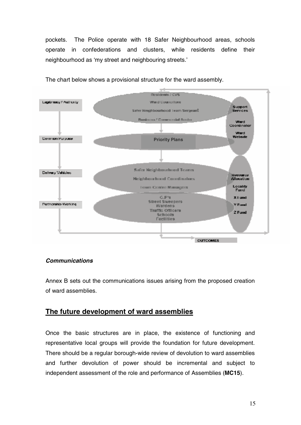pockets. The Police operate with 18 Safer Neighbourhood areas, schools operate in confederations and clusters, while residents define their neighbourhood as 'my street and neighbouring streets.'



The chart below shows a provisional structure for the ward assembly.

#### **Communications**

Annex B sets out the communications issues arising from the proposed creation of ward assemblies.

#### **The future development of ward assemblies**

Once the basic structures are in place, the existence of functioning and representative local groups will provide the foundation for future development. There should be a regular borough-wide review of devolution to ward assemblies and further devolution of power should be incremental and subject to independent assessment of the role and performance of Assemblies (**MC15**).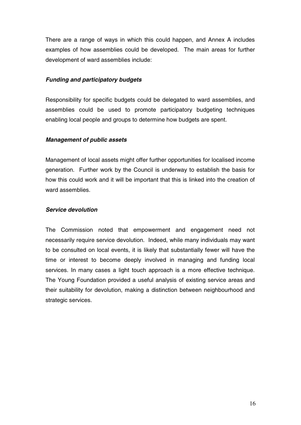There are a range of ways in which this could happen, and Annex A includes examples of how assemblies could be developed. The main areas for further development of ward assemblies include:

#### **Funding and participatory budgets**

Responsibility for specific budgets could be delegated to ward assemblies, and assemblies could be used to promote participatory budgeting techniques enabling local people and groups to determine how budgets are spent.

#### **Management of public assets**

Management of local assets might offer further opportunities for localised income generation. Further work by the Council is underway to establish the basis for how this could work and it will be important that this is linked into the creation of ward assemblies.

#### **Service devolution**

The Commission noted that empowerment and engagement need not necessarily require service devolution. Indeed, while many individuals may want to be consulted on local events, it is likely that substantially fewer will have the time or interest to become deeply involved in managing and funding local services. In many cases a light touch approach is a more effective technique. The Young Foundation provided a useful analysis of existing service areas and their suitability for devolution, making a distinction between neighbourhood and strategic services.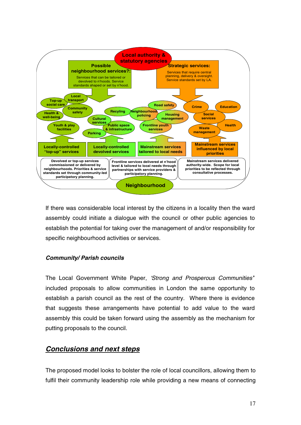

If there was considerable local interest by the citizens in a locality then the ward assembly could initiate a dialogue with the council or other public agencies to establish the potential for taking over the management of and/or responsibility for specific neighbourhood activities or services.

#### **Community/ Parish councils**

The Local Government White Paper, 'Strong and Prosperous Communities'' included proposals to allow communities in London the same opportunity to establish a parish council as the rest of the country. Where there is evidence that suggests these arrangements have potential to add value to the ward assembly this could be taken forward using the assembly as the mechanism for putting proposals to the council.

#### **Conclusions and next steps**

The proposed model looks to bolster the role of local councillors, allowing them to fulfil their community leadership role while providing a new means of connecting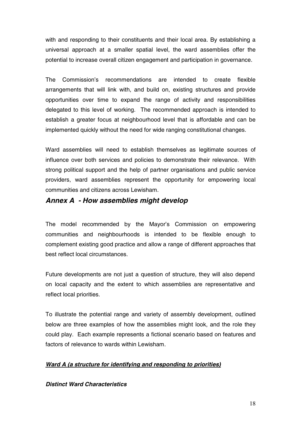with and responding to their constituents and their local area. By establishing a universal approach at a smaller spatial level, the ward assemblies offer the potential to increase overall citizen engagement and participation in governance.

The Commission's recommendations are intended to create flexible arrangements that will link with, and build on, existing structures and provide opportunities over time to expand the range of activity and responsibilities delegated to this level of working. The recommended approach is intended to establish a greater focus at neighbourhood level that is affordable and can be implemented quickly without the need for wide ranging constitutional changes.

Ward assemblies will need to establish themselves as legitimate sources of influence over both services and policies to demonstrate their relevance. With strong political support and the help of partner organisations and public service providers, ward assemblies represent the opportunity for empowering local communities and citizens across Lewisham.

#### **Annex A - How assemblies might develop**

The model recommended by the Mayor's Commission on empowering communities and neighbourhoods is intended to be flexible enough to complement existing good practice and allow a range of different approaches that best reflect local circumstances.

Future developments are not just a question of structure, they will also depend on local capacity and the extent to which assemblies are representative and reflect local priorities.

To illustrate the potential range and variety of assembly development, outlined below are three examples of how the assemblies might look, and the role they could play. Each example represents a fictional scenario based on features and factors of relevance to wards within Lewisham.

#### **Ward A (a structure for identifying and responding to priorities)**

#### **Distinct Ward Characteristics**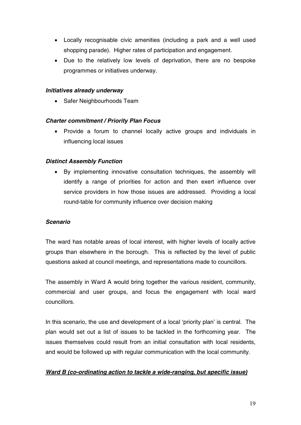- Locally recognisable civic amenities (including a park and a well used shopping parade). Higher rates of participation and engagement.
- Due to the relatively low levels of deprivation, there are no bespoke programmes or initiatives underway.

#### **Initiatives already underway**

• Safer Neighbourhoods Team

#### **Charter commitment / Priority Plan Focus**

• Provide a forum to channel locally active groups and individuals in influencing local issues

#### **Distinct Assembly Function**

By implementing innovative consultation techniques, the assembly will identify a range of priorities for action and then exert influence over service providers in how those issues are addressed. Providing a local round-table for community influence over decision making

#### **Scenario**

The ward has notable areas of local interest, with higher levels of locally active groups than elsewhere in the borough. This is reflected by the level of public questions asked at council meetings, and representations made to councillors.

The assembly in Ward A would bring together the various resident, community, commercial and user groups, and focus the engagement with local ward councillors.

In this scenario, the use and development of a local 'priority plan' is central. The plan would set out a list of issues to be tackled in the forthcoming year. The issues themselves could result from an initial consultation with local residents, and would be followed up with regular communication with the local community.

#### **Ward B (co-ordinating action to tackle a wide-ranging, but specific issue)**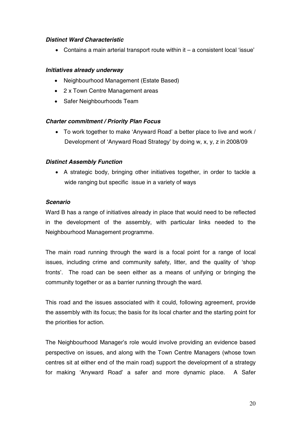#### **Distinct Ward Characteristic**

• Contains a main arterial transport route within  $it - a$  consistent local 'issue'

#### **Initiatives already underway**

- Neighbourhood Management (Estate Based)
- 2 x Town Centre Management areas
- Safer Neighbourhoods Team

#### **Charter commitment / Priority Plan Focus**

• To work together to make 'Anyward Road' a better place to live and work / Development of 'Anyward Road Strategy' by doing w, x, y, z in 2008/09

#### **Distinct Assembly Function**

• A strategic body, bringing other initiatives together, in order to tackle a wide ranging but specific issue in a variety of ways

#### **Scenario**

Ward B has a range of initiatives already in place that would need to be reflected in the development of the assembly, with particular links needed to the Neighbourhood Management programme.

The main road running through the ward is a focal point for a range of local issues, including crime and community safety, litter, and the quality of 'shop fronts'. The road can be seen either as a means of unifying or bringing the community together or as a barrier running through the ward.

This road and the issues associated with it could, following agreement, provide the assembly with its focus; the basis for its local charter and the starting point for the priorities for action.

The Neighbourhood Manager's role would involve providing an evidence based perspective on issues, and along with the Town Centre Managers (whose town centres sit at either end of the main road) support the development of a strategy for making 'Anyward Road' a safer and more dynamic place. A Safer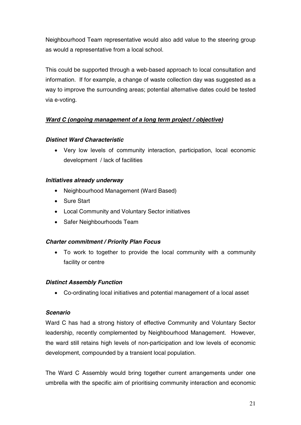Neighbourhood Team representative would also add value to the steering group as would a representative from a local school.

This could be supported through a web-based approach to local consultation and information. If for example, a change of waste collection day was suggested as a way to improve the surrounding areas; potential alternative dates could be tested via e-voting.

#### **Ward C (ongoing management of a long term project / objective)**

#### **Distinct Ward Characteristic**

• Very low levels of community interaction, participation, local economic development / lack of facilities

#### **Initiatives already underway**

- Neighbourhood Management (Ward Based)
- Sure Start
- Local Community and Voluntary Sector initiatives
- Safer Neighbourhoods Team

#### **Charter commitment / Priority Plan Focus**

• To work to together to provide the local community with a community facility or centre

#### **Distinct Assembly Function**

• Co-ordinating local initiatives and potential management of a local asset

#### **Scenario**

Ward C has had a strong history of effective Community and Voluntary Sector leadership, recently complemented by Neighbourhood Management. However, the ward still retains high levels of non-participation and low levels of economic development, compounded by a transient local population.

The Ward C Assembly would bring together current arrangements under one umbrella with the specific aim of prioritising community interaction and economic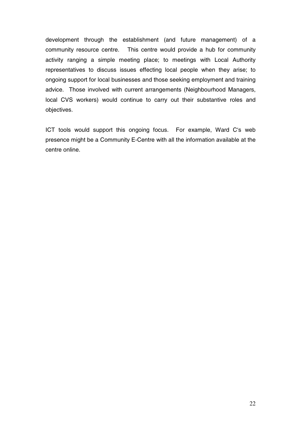development through the establishment (and future management) of a community resource centre. This centre would provide a hub for community activity ranging a simple meeting place; to meetings with Local Authority representatives to discuss issues effecting local people when they arise; to ongoing support for local businesses and those seeking employment and training advice. Those involved with current arrangements (Neighbourhood Managers, local CVS workers) would continue to carry out their substantive roles and objectives.

ICT tools would support this ongoing focus. For example, Ward C's web presence might be a Community E-Centre with all the information available at the centre online.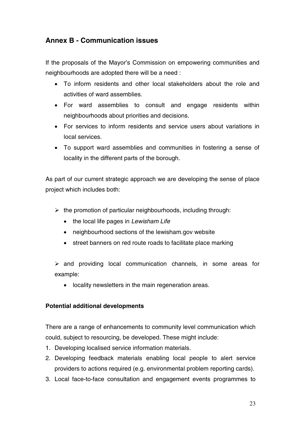#### **Annex B - Communication issues**

If the proposals of the Mayor's Commission on empowering communities and neighbourhoods are adopted there will be a need :

- To inform residents and other local stakeholders about the role and activities of ward assemblies.
- For ward assemblies to consult and engage residents within neighbourhoods about priorities and decisions.
- For services to inform residents and service users about variations in local services.
- To support ward assemblies and communities in fostering a sense of locality in the different parts of the borough.

As part of our current strategic approach we are developing the sense of place project which includes both:

- $\triangleright$  the promotion of particular neighbourhoods, including through:
	- the local life pages in Lewisham Life
	- neighbourhood sections of the lewisham.gov website
	- street banners on red route roads to facilitate place marking

 $\triangleright$  and providing local communication channels, in some areas for example:

• locality newsletters in the main regeneration areas.

#### **Potential additional developments**

There are a range of enhancements to community level communication which could, subject to resourcing, be developed. These might include:

- 1. Developing localised service information materials.
- 2. Developing feedback materials enabling local people to alert service providers to actions required (e.g. environmental problem reporting cards).
- 3. Local face-to-face consultation and engagement events programmes to